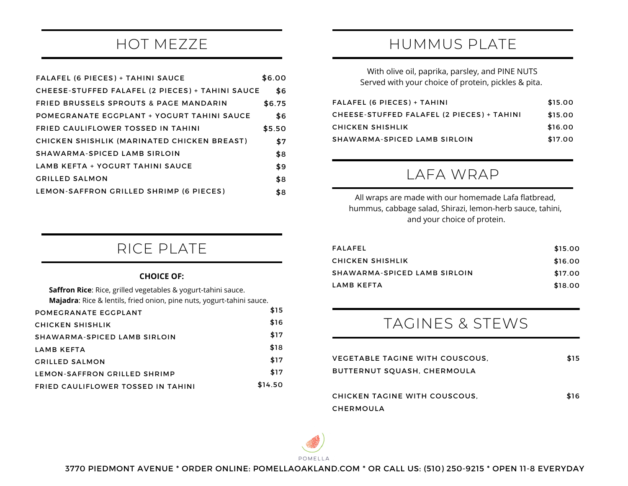## HOT MEZZE

| FALAFEL (6 PIECES) + TAHINI SAUCE                 | \$6.00 |
|---------------------------------------------------|--------|
| CHEESE-STUFFED FALAFEL (2 PIECES) + TAHINI SAUCE  | \$6    |
| FRIED BRUSSELS SPROUTS & PAGE MANDARIN            | \$6.75 |
| <b>POMEGRANATE EGGPLANT + YOGURT TAHINI SAUCE</b> | \$6    |
| <b>FRIED CAULIFLOWER TOSSED IN TAHINI</b>         | \$5.50 |
| CHICKEN SHISHLIK (MARINATED CHICKEN BREAST)       | \$7    |
| SHAWARMA-SPICED LAMB SIRLOIN                      | \$8    |
| LAMB KEFTA + YOGURT TAHINI SAUCE                  | \$9    |
| <b>GRILLED SALMON</b>                             | \$8    |
| LEMON-SAFFRON GRILLED SHRIMP (6 PIECES)           | \$8    |

## HUMMUS PLATE

With olive oil, paprika, parsley, and PINE NUTS Served with your choice of protein, pickles & pita.

| FALAFEL (6 PIECES) + TAHINI                | \$15.00 |
|--------------------------------------------|---------|
| CHEESE-STUFFED FALAFEL (2 PIECES) + TAHINI | \$15.00 |
| CHICKEN SHISHLIK                           | \$16.00 |
| SHAWARMA-SPICED LAMB SIRLOIN               | \$17.00 |

### LAFA WRAP

All wraps are made with our homemade Lafa flatbread, hummus, cabbage salad, Shirazi, lemon-herb sauce, tahini, and your choice of protein.

| FALAFEL                      | \$15.00 |
|------------------------------|---------|
| CHICKEN SHISHLIK             | \$16.00 |
| SHAWARMA-SPICED LAMB SIRLOIN | \$17.00 |
| LAMB KEFTA                   | \$18.00 |

## TAGINES & STEWS

| VEGETABLE TAGINE WITH COUSCOUS.<br>BUTTERNUT SQUASH, CHERMOULA | \$15 |
|----------------------------------------------------------------|------|
| CHICKEN TAGINE WITH COUSCOUS.<br>CHERMOULA                     | \$16 |



## RICE PLATE

#### **CHOICE OF:**

| <b>Saffron Rice:</b> Rice, grilled vegetables & yogurt-tahini sauce.  |         |
|-----------------------------------------------------------------------|---------|
| Majadra: Rice & lentils, fried onion, pine nuts, yogurt-tahini sauce. |         |
| POMEGRANATE EGGPLANT                                                  | \$15    |
| CHICKEN SHISHLIK                                                      | \$16    |
| SHAWARMA-SPICED LAMB SIRLOIN                                          | \$17    |
| LAMB KEFTA                                                            | \$18    |
| <b>GRILLED SALMON</b>                                                 | \$17    |
| LEMON-SAFFRON GRILLED SHRIMP                                          | \$17    |
| <b>FRIED CAULIFLOWER TOSSED IN TAHINI</b>                             | \$14.50 |
|                                                                       |         |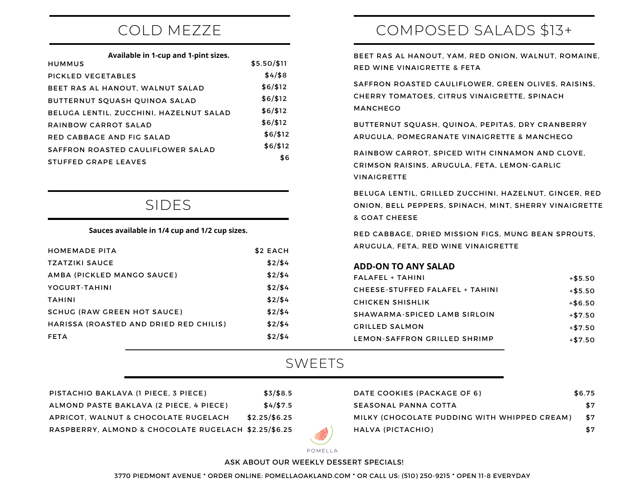## COLD MEZZE

|  |  | Available in 1-cup and 1-pint sizes. |
|--|--|--------------------------------------|
|--|--|--------------------------------------|

| <b>HUMMUS</b>                           | $$5.50/\$11$ |
|-----------------------------------------|--------------|
| PICKLED VEGETABLES                      | \$4/\$8      |
| BEET RAS AL HANOUT, WALNUT SALAD        | \$6/\$12     |
| BUTTERNUT SQUASH QUINOA SALAD           | \$6/\$12     |
| BELUGA LENTIL, ZUCCHINI, HAZELNUT SALAD | \$6/\$12     |
| RAINBOW CARROT SALAD                    | \$6/\$12     |
| RED CABBAGE AND FIG SALAD               | \$6/\$12     |
| SAFFRON ROASTED CAULIFLOWER SALAD       | \$6/\$12     |
| STUFFED GRAPE LEAVES                    | \$6          |

### SIDES

#### **Sauces available in 1/4 cup and 1/2 cup sizes.**

| <b>HOMEMADE PITA</b>                   | \$2 EACH |
|----------------------------------------|----------|
| <b>TZATZIKI SAUCE</b>                  | \$2/\$4  |
| AMBA (PICKLED MANGO SAUCE)             | \$2/\$4  |
| YOGURT-TAHINI                          | \$2/\$4  |
| <b>TAHINI</b>                          | \$2/\$4  |
| <b>SCHUG (RAW GREEN HOT SAUCE)</b>     | \$2/\$4  |
| HARISSA (ROASTED AND DRIED RED CHILIS) | \$2/\$4  |
| <b>FETA</b>                            | \$2/\$4  |

# COMPOSED SALADS \$13+

BEET RAS AL HANOUT, YAM, RED ONION, WALNUT, ROMAINE, RED WINE VINAIGRETTE & FETA

SAFFRON ROASTED CAULIFLOWER, GREEN OLIVES, RAISINS, CHERRY TOMATOES, CITRUS VINAIGRETTE, SPINACH MANCHEGO

BUTTERNUT SQUASH, QUINOA, PEPITAS, DRY CRANBERRY ARUGULA, POMEGRANATE VINAIGRETTE & MANCHEGO

RAINBOW CARROT, SPICED WITH CINNAMON AND CLOVE, CRIMSON RAISINS, ARUGULA, FETA, LEMON-GARLIC VINAIGRETTE

BELUGA LENTIL, GRILLED ZUCCHINI, HAZELNUT, GINGER, RED ONION, BELL PEPPERS, SPINACH, MINT, SHERRY VINAIGRETTE & GOAT CHEESE

RED CABBAGE, DRIED MISSION FIGS, MUNG BEAN SPROUTS, ARUGULA, FETA, RED WINE VINAIGRETTE

#### **ADD-ON TO ANY SALAD**

| $FALAFEL + TAHINI$              | $+ $5.50$ |
|---------------------------------|-----------|
| CHEESE-STUFFED FALAFEL + TAHINI | $+ $5.50$ |
| CHICKEN SHISHLIK                | $+ $6.50$ |
| SHAWARMA-SPICED LAMB SIRLOIN    | $+ $7.50$ |
| <b>GRILLED SALMON</b>           | $+ $7.50$ |
| LEMON-SAFFRON GRILLED SHRIMP    | $+ $7.50$ |

#### SWEETS

\$

| PISTACHIO BAKLAVA (1 PIECE, 3 PIECE)                 | \$3/\$8.5      |
|------------------------------------------------------|----------------|
| ALMOND PASTE BAKLAVA (2 PIECE, 4 PIECE)              | \$4/\$7.5      |
| APRICOT. WALNUT & CHOCOLATE RUGELACH                 | $$2.25/\$6.25$ |
| RASPBERRY, ALMOND & CHOCOLATE RUGELACH \$2.25/\$6.25 |                |

| DATE COOKIES (PACKAGE OF 6)                  | \$6.75 |
|----------------------------------------------|--------|
| SEASONAL PANNA COTTA                         | \$7    |
| MILKY (CHOCOLATE PUDDING WITH WHIPPED CREAM) | \$7    |
| HALVA (PICTACHIO)                            | \$7    |

POMELLA

#### ASK ABOUT OUR WEEKLY DESSERT SPECIALS!

3770 PIEDMONT AVENUE \* ORDER ONLINE: POMELLAOAKLAND.COM \* OR CALL US: (510) 250-9215 \* OPEN 11-8 EVERYDAY